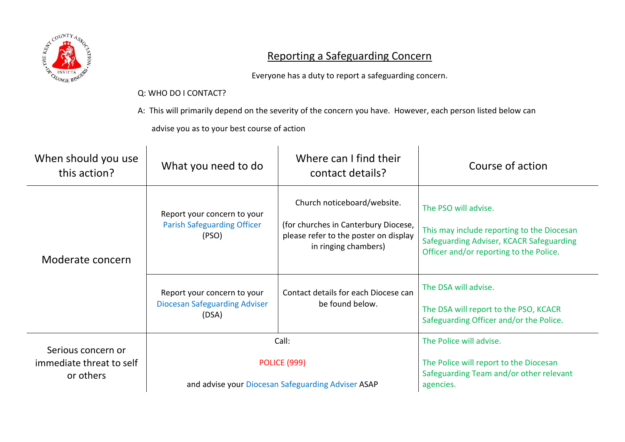

## Reporting a Safeguarding Concern

Everyone has a duty to report a safeguarding concern.

## Q: WHO DO I CONTACT?

A: This will primarily depend on the severity of the concern you have. However, each person listed below can

advise you as to your best course of action

| When should you use<br>this action?                         | What you need to do                                                                | Where can I find their<br>contact details?                                                                                           | Course of action                                                                                                                                          |
|-------------------------------------------------------------|------------------------------------------------------------------------------------|--------------------------------------------------------------------------------------------------------------------------------------|-----------------------------------------------------------------------------------------------------------------------------------------------------------|
| Moderate concern                                            | Report your concern to your<br><b>Parish Safeguarding Officer</b><br>(PSO)         | Church noticeboard/website.<br>(for churches in Canterbury Diocese,<br>please refer to the poster on display<br>in ringing chambers) | The PSO will advise.<br>This may include reporting to the Diocesan<br>Safeguarding Adviser, KCACR Safeguarding<br>Officer and/or reporting to the Police. |
|                                                             | Report your concern to your<br><b>Diocesan Safeguarding Adviser</b><br>(DSA)       | Contact details for each Diocese can<br>be found below.                                                                              | The DSA will advise.<br>The DSA will report to the PSO, KCACR<br>Safeguarding Officer and/or the Police.                                                  |
| Serious concern or<br>immediate threat to self<br>or others | Call:<br><b>POLICE (999)</b><br>and advise your Diocesan Safeguarding Adviser ASAP |                                                                                                                                      | The Police will advise.<br>The Police will report to the Diocesan<br>Safeguarding Team and/or other relevant<br>agencies.                                 |